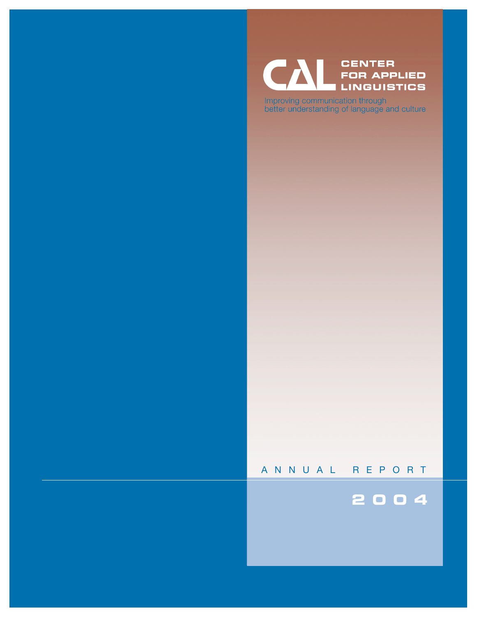#### **CENTER** C **FOR APPLIED LINGUISTICS**

Improving communication through<br>better understanding of language and culture

## ANNUAL REPORT

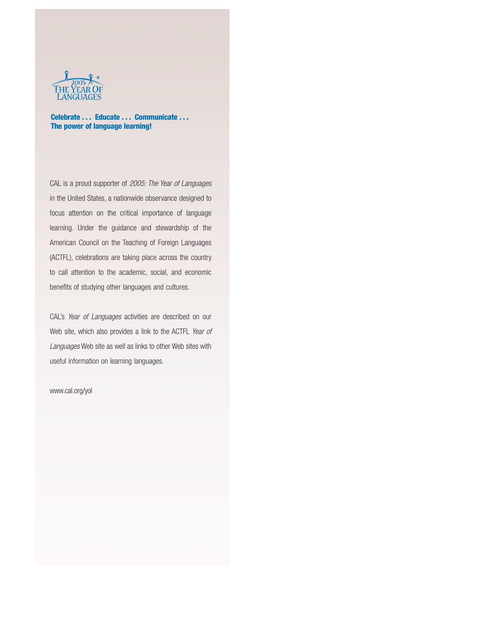

**Celebrate . . . Educate . . . Communicate . . . The power of language learning!**

CAL is a proud supporter of *2005: The Year of Languages* in the United States, a nationwide observance designed to focus attention on the critical importance of language learning. Under the guidance and stewardship of the American Council on the Teaching of Foreign Languages (ACTFL), celebrations are taking place across the country to call attention to the academic, social, and economic benefits of studying other languages and cultures.

CAL's *Year of Languages* activities are described on our Web site, which also provides a link to the ACTFL *Year of Languages* Web site as well as links to other Web sites with useful information on learning languages.

#### www.cal.org/yol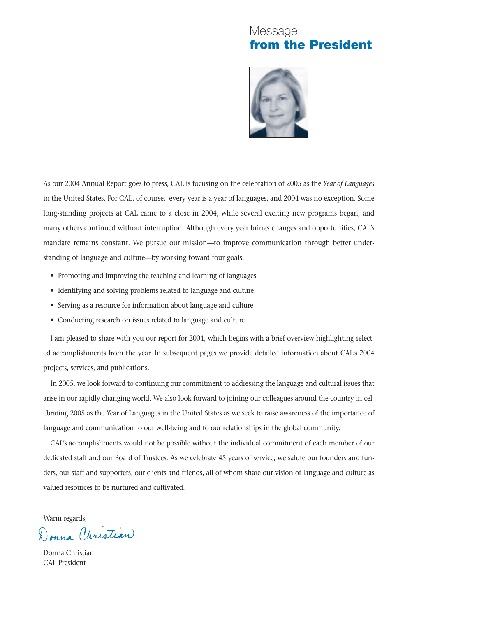## Message **from the President**



As our 2004 Annual Report goes to press, CAL is focusing on the celebration of 2005 as the *Year of Languages* in the United States. For CAL, of course, every year is a year of languages, and 2004 was no exception. Some long-standing projects at CAL came to a close in 2004, while several exciting new programs began, and many others continued without interruption. Although every year brings changes and opportunities, CAL's mandate remains constant. We pursue our mission—to improve communication through better understanding of language and culture—by working toward four goals:

- Promoting and improving the teaching and learning of languages
- Identifying and solving problems related to language and culture
- Serving as a resource for information about language and culture
- Conducting research on issues related to language and culture

I am pleased to share with you our report for 2004, which begins with a brief overview highlighting selected accomplishments from the year. In subsequent pages we provide detailed information about CAL's 2004 projects, services, and publications.

In 2005, we look forward to continuing our commitment to addressing the language and cultural issues that arise in our rapidly changing world. We also look forward to joining our colleagues around the country in celebrating 2005 as the Year of Languages in the United States as we seek to raise awareness of the importance of language and communication to our well-being and to our relationships in the global community.

CAL's accomplishments would not be possible without the individual commitment of each member of our dedicated staff and our Board of Trustees. As we celebrate 45 years of service, we salute our founders and funders, our staff and supporters, our clients and friends, all of whom share our vision of language and culture as valued resources to be nurtured and cultivated.

Warm regards,<br>Donna Christian

Donna Christian CAL President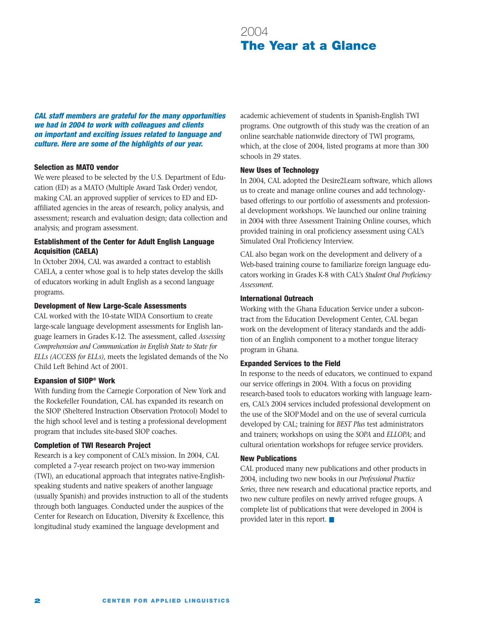## 2004 **The Year at a Glance**

*CAL staff members are grateful for the many opportunities we had in 2004 to work with colleagues and clients on important and exciting issues related to language and culture. Here are some of the highlights of our year.*

#### **Selection as MATO vendor**

We were pleased to be selected by the U.S. Department of Education (ED) as a MATO (Multiple Award Task Order) vendor, making CAL an approved supplier of services to ED and EDaffiliated agencies in the areas of research, policy analysis, and assessment; research and evaluation design; data collection and analysis; and program assessment.

### **Establishment of the Center for Adult English Language Acquisition (CAELA)**

In October 2004, CAL was awarded a contract to establish CAELA, a center whose goal is to help states develop the skills of educators working in adult English as a second language programs.

#### **Development of New Large-Scale Assessments**

CAL worked with the 10-state WIDA Consortium to create large-scale language development assessments for English language learners in Grades K-12. The assessment, called *Assessing Comprehension and Communication in English State to State for ELLs (ACCESS for ELLs)*, meets the legislated demands of the No Child Left Behind Act of 2001.

#### **Expansion of SIOP® Work**

With funding from the Carnegie Corporation of New York and the Rockefeller Foundation, CAL has expanded its research on the SIOP (Sheltered Instruction Observation Protocol) Model to the high school level and is testing a professional development program that includes site-based SIOP coaches.

#### **Completion of TWI Research Project**

Research is a key component of CAL's mission. In 2004, CAL completed a 7-year research project on two-way immersion (TWI), an educational approach that integrates native-Englishspeaking students and native speakers of another language (usually Spanish) and provides instruction to all of the students through both languages. Conducted under the auspices of the Center for Research on Education, Diversity & Excellence, this longitudinal study examined the language development and

academic achievement of students in Spanish-English TWI programs. One outgrowth of this study was the creation of an online searchable nationwide directory of TWI programs, which, at the close of 2004, listed programs at more than 300 schools in 29 states.

#### **New Uses of Technology**

In 2004, CAL adopted the Desire2Learn software, which allows us to create and manage online courses and add technologybased offerings to our portfolio of assessments and professional development workshops. We launched our online training in 2004 with three Assessment Training Online courses, which provided training in oral proficiency assessment using CAL's Simulated Oral Proficiency Interview.

CAL also began work on the development and delivery of a Web-based training course to familiarize foreign language educators working in Grades K-8 with CAL's *Student Oral Proficiency Assessment.*

#### **International Outreach**

Working with the Ghana Education Service under a subcontract from the Education Development Center, CAL began work on the development of literacy standards and the addition of an English component to a mother tongue literacy program in Ghana.

#### **Expanded Services to the Field**

In response to the needs of educators, we continued to expand our service offerings in 2004. With a focus on providing research-based tools to educators working with language learners, CAL's 2004 services included professional development on the use of the SIOPModel and on the use of several curricula developed by CAL; training for *BEST Plus* test administrators and trainers; workshops on using the *SOPA* and *ELLOPA*; and cultural orientation workshops for refugee service providers.

#### **New Publications**

CAL produced many new publications and other products in 2004, including two new books in our *Professional Practice Series*, three new research and educational practice reports, and two new culture profiles on newly arrived refugee groups. A complete list of publications that were developed in 2004 is provided later in this report. ■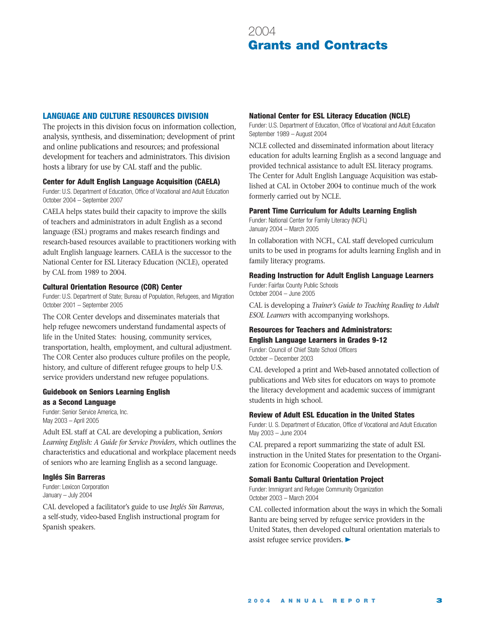## **LANGUAGE AND CULTURE RESOURCES DIVISION**

The projects in this division focus on information collection, analysis, synthesis, and dissemination; development of print and online publications and resources; and professional development for teachers and administrators. This division hosts a library for use by CAL staff and the public.

#### **Center for Adult English Language Acquisition (CAELA)**

Funder: U.S. Department of Education, Office of Vocational and Adult Education October 2004 – September 2007

CAELA helps states build their capacity to improve the skills of teachers and administrators in adult English as a second language (ESL) programs and makes research findings and research-based resources available to practitioners working with adult English language learners. CAELA is the successor to the National Center for ESL Literacy Education (NCLE), operated by CAL from 1989 to 2004.

#### **Cultural Orientation Resource (COR) Center**

Funder: U.S. Department of State; Bureau of Population, Refugees, and Migration October 2001 – September 2005

The COR Center develops and disseminates materials that help refugee newcomers understand fundamental aspects of life in the United States: housing, community services, transportation, health, employment, and cultural adjustment. The COR Center also produces culture profiles on the people, history, and culture of different refugee groups to help U.S. service providers understand new refugee populations.

## **Guidebook on Seniors Learning English as a Second Language**

Funder: Senior Service America, Inc. May 2003 – April 2005

Adult ESL staff at CAL are developing a publication, *Seniors Learning English: A Guide for Service Providers*, which outlines the characteristics and educational and workplace placement needs of seniors who are learning English as a second language.

#### **Inglés Sin Barreras**

Funder: Lexicon Corporation January – July 2004

CAL developed a facilitator's guide to use *Inglés Sin Barreras*, a self-study, video-based English instructional program for Spanish speakers.

### **National Center for ESL Literacy Education (NCLE)**

Funder: U.S. Department of Education, Office of Vocational and Adult Education September 1989 – August 2004

NCLE collected and disseminated information about literacy education for adults learning English as a second language and provided technical assistance to adult ESL literacy programs. The Center for Adult English Language Acquisition was established at CAL in October 2004 to continue much of the work formerly carried out by NCLE.

#### **Parent Time Curriculum for Adults Learning English**

Funder: National Center for Family Literacy (NCFL) January 2004 – March 2005

In collaboration with NCFL, CAL staff developed curriculum units to be used in programs for adults learning English and in family literacy programs.

#### **Reading Instruction for Adult English Language Learners**

Funder: Fairfax County Public Schools October 2004 – June 2005

CAL is developing a *Trainer's Guide to Teaching Reading to Adult ESOL Learners* with accompanying workshops.

## **Resources for Teachers and Administrators: English Language Learners in Grades 9-12**

Funder: Council of Chief State School Officers October – December 2003

CAL developed a print and Web-based annotated collection of publications and Web sites for educators on ways to promote the literacy development and academic success of immigrant students in high school.

#### **Review of Adult ESL Education in the United States**

Funder: U. S. Department of Education, Office of Vocational and Adult Education May 2003 – June 2004

CAL prepared a report summarizing the state of adult ESL instruction in the United States for presentation to the Organization for Economic Cooperation and Development.

#### **Somali Bantu Cultural Orientation Project**

Funder: Immigrant and Refugee Community Organization October 2003 – March 2004

CAL collected information about the ways in which the Somali Bantu are being served by refugee service providers in the United States, then developed cultural orientation materials to assist refugee service providers.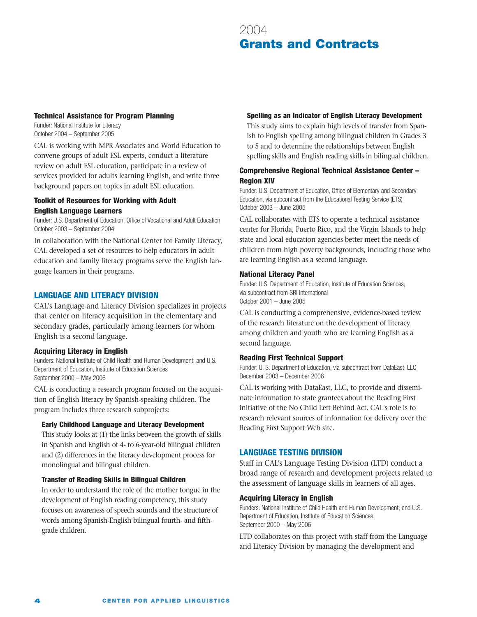#### **Technical Assistance for Program Planning**

Funder: National Institute for Literacy October 2004 – September 2005

CAL is working with MPR Associates and World Education to convene groups of adult ESL experts, conduct a literature review on adult ESL education, participate in a review of services provided for adults learning English, and write three background papers on topics in adult ESL education.

## **Toolkit of Resources for Working with Adult English Language Learners**

Funder: U.S. Department of Education, Office of Vocational and Adult Education October 2003 – September 2004

In collaboration with the National Center for Family Literacy, CAL developed a set of resources to help educators in adult education and family literacy programs serve the English language learners in their programs.

## **LANGUAGE AND LITERACY DIVISION**

CAL's Language and Literacy Division specializes in projects that center on literacy acquisition in the elementary and secondary grades, particularly among learners for whom English is a second language.

## **Acquiring Literacy in English**

Funders: National Institute of Child Health and Human Development; and U.S. Department of Education, Institute of Education Sciences September 2000 – May 2006

CAL is conducting a research program focused on the acquisition of English literacy by Spanish-speaking children. The program includes three research subprojects:

#### **Early Childhood Language and Literacy Development**

This study looks at (1) the links between the growth of skills in Spanish and English of 4- to 6-year-old bilingual children and (2) differences in the literacy development process for monolingual and bilingual children.

#### **Transfer of Reading Skills in Bilingual Children**

In order to understand the role of the mother tongue in the development of English reading competency, this study focuses on awareness of speech sounds and the structure of words among Spanish-English bilingual fourth- and fifthgrade children.

### **Spelling as an Indicator of English Literacy Development**

This study aims to explain high levels of transfer from Spanish to English spelling among bilingual children in Grades 3 to 5 and to determine the relationships between English spelling skills and English reading skills in bilingual children.

### **Comprehensive Regional Technical Assistance Center – Region XIV**

Funder: U.S. Department of Education, Office of Elementary and Secondary Education, via subcontract from the Educational Testing Service (ETS) October 2003 – June 2005

CAL collaborates with ETS to operate a technical assistance center for Florida, Puerto Rico, and the Virgin Islands to help state and local education agencies better meet the needs of children from high poverty backgrounds, including those who are learning English as a second language.

### **National Literacy Panel**

Funder: U.S. Department of Education, Institute of Education Sciences, via subcontract from SRI International October 2001 – June 2005

CAL is conducting a comprehensive, evidence-based review of the research literature on the development of literacy among children and youth who are learning English as a second language.

#### **Reading First Technical Support**

Funder: U. S. Department of Education, via subcontract from DataEast, LLC December 2003 – December 2006

CAL is working with DataEast, LLC, to provide and disseminate information to state grantees about the Reading First initiative of the No Child Left Behind Act. CAL's role is to research relevant sources of information for delivery over the Reading First Support Web site.

## **LANGUAGE TESTING DIVISION**

Staff in CAL's Language Testing Division (LTD) conduct a broad range of research and development projects related to the assessment of language skills in learners of all ages.

#### **Acquiring Literacy in English**

Funders: National Institute of Child Health and Human Development; and U.S. Department of Education, Institute of Education Sciences September 2000 – May 2006

LTD collaborates on this project with staff from the Language and Literacy Division by managing the development and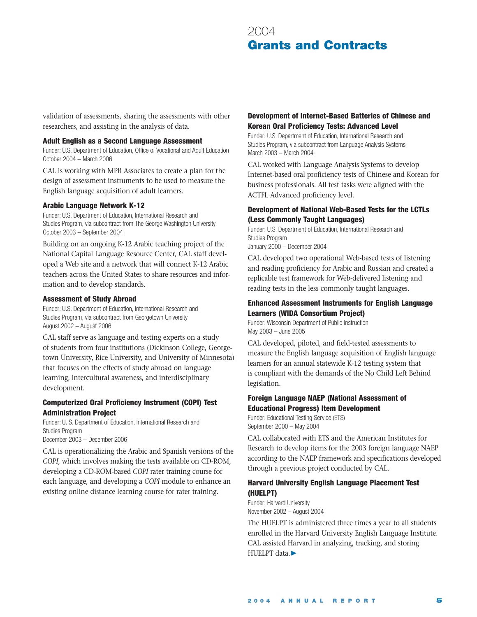validation of assessments, sharing the assessments with other researchers, and assisting in the analysis of data.

#### **Adult English as a Second Language Assessment**

Funder: U.S. Department of Education, Office of Vocational and Adult Education October 2004 – March 2006

CAL is working with MPR Associates to create a plan for the design of assessment instruments to be used to measure the English language acquisition of adult learners.

#### **Arabic Language Network K-12**

Funder: U.S. Department of Education, International Research and Studies Program, via subcontract from The George Washington University October 2003 – September 2004

Building on an ongoing K-12 Arabic teaching project of the National Capital Language Resource Center, CAL staff developed a Web site and a network that will connect K-12 Arabic teachers across the United States to share resources and information and to develop standards.

#### **Assessment of Study Abroad**

Funder: U.S. Department of Education, International Research and Studies Program, via subcontract from Georgetown University August 2002 – August 2006

CAL staff serve as language and testing experts on a study of students from four institutions (Dickinson College, Georgetown University, Rice University, and University of Minnesota) that focuses on the effects of study abroad on language learning, intercultural awareness, and interdisciplinary development.

#### **Computerized Oral Proficiency Instrument (COPI) Test Administration Project**

Funder: U. S. Department of Education, International Research and Studies Program December 2003 – December 2006

CAL is operationalizing the Arabic and Spanish versions of the *COPI*, which involves making the tests available on CD-ROM, developing a CD-ROM-based *COPI* rater training course for each language, and developing a *COPI* module to enhance an existing online distance learning course for rater training.

### **Development of Internet-Based Batteries of Chinese and Korean Oral Proficiency Tests: Advanced Level**

Funder: U.S. Department of Education, International Research and Studies Program, via subcontract from Language Analysis Systems March 2003 – March 2004

CAL worked with Language Analysis Systems to develop Internet-based oral proficiency tests of Chinese and Korean for business professionals. All test tasks were aligned with the ACTFL Advanced proficiency level.

#### **Development of National Web-Based Tests for the LCTLs (Less Commonly Taught Languages)**

Funder: U.S. Department of Education, International Research and Studies Program January 2000 – December 2004

CAL developed two operational Web-based tests of listening and reading proficiency for Arabic and Russian and created a replicable test framework for Web-delivered listening and reading tests in the less commonly taught languages.

#### **Enhanced Assessment Instruments for English Language Learners (WIDA Consortium Project)**

Funder: Wisconsin Department of Public Instruction May 2003 – June 2005

CAL developed, piloted, and field-tested assessments to measure the English language acquisition of English language learners for an annual statewide K-12 testing system that is compliant with the demands of the No Child Left Behind legislation.

## **Foreign Language NAEP (National Assessment of Educational Progress) Item Development**

Funder: Educational Testing Service (ETS) September 2000 – May 2004

CAL collaborated with ETS and the American Institutes for Research to develop items for the 2003 foreign language NAEP according to the NAEP framework and specifications developed through a previous project conducted by CAL.

### **Harvard University English Language Placement Test (HUELPT)**

Funder: Harvard University November 2002 – August 2004

The HUELPT is administered three times a year to all students enrolled in the Harvard University English Language Institute. CAL assisted Harvard in analyzing, tracking, and storing HUELPT data. ▶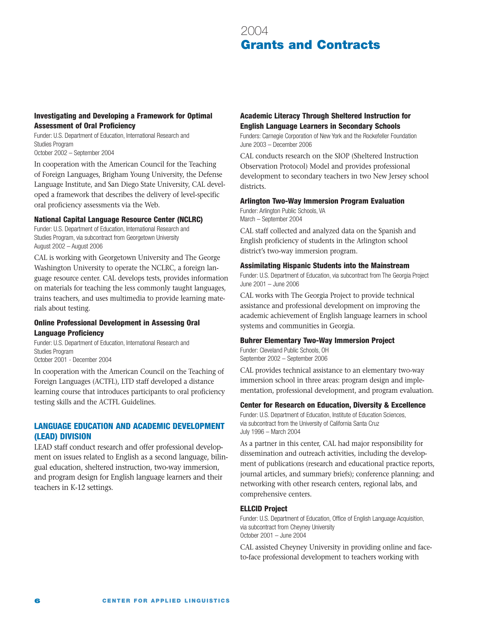### **Investigating and Developing a Framework for Optimal Assessment of Oral Proficiency**

Funder: U.S. Department of Education, International Research and Studies Program October 2002 – September 2004

In cooperation with the American Council for the Teaching of Foreign Languages, Brigham Young University, the Defense Language Institute, and San Diego State University, CAL developed a framework that describes the delivery of level-specific oral proficiency assessments via the Web.

#### **National Capital Language Resource Center (NCLRC)**

Funder: U.S. Department of Education, International Research and Studies Program, via subcontract from Georgetown University August 2002 – August 2006

CAL is working with Georgetown University and The George Washington University to operate the NCLRC, a foreign language resource center. CAL develops tests, provides information on materials for teaching the less commonly taught languages, trains teachers, and uses multimedia to provide learning materials about testing.

#### **Online Professional Development in Assessing Oral Language Proficiency**

Funder: U.S. Department of Education, International Research and Studies Program October 2001 - December 2004

In cooperation with the American Council on the Teaching of Foreign Languages (ACTFL), LTD staff developed a distance learning course that introduces participants to oral proficiency testing skills and the ACTFL Guidelines.

## **LANGUAGE EDUCATION AND ACADEMIC DEVELOPMENT (LEAD) DIVISION**

LEAD staff conduct research and offer professional development on issues related to English as a second language, bilingual education, sheltered instruction, two-way immersion, and program design for English language learners and their teachers in K-12 settings.

## **Academic Literacy Through Sheltered Instruction for English Language Learners in Secondary Schools**

Funders: Carnegie Corporation of New York and the Rockefeller Foundation June 2003 – December 2006

CAL conducts research on the SIOP (Sheltered Instruction Observation Protocol) Model and provides professional development to secondary teachers in two New Jersey school districts.

#### **Arlington Two-Way Immersion Program Evaluation**

Funder: Arlington Public Schools, VA March – September 2004

CAL staff collected and analyzed data on the Spanish and English proficiency of students in the Arlington school district's two-way immersion program.

#### **Assimilating Hispanic Students into the Mainstream**

Funder: U.S. Department of Education, via subcontract from The Georgia Project June 2001 – June 2006

CAL works with The Georgia Project to provide technical assistance and professional development on improving the academic achievement of English language learners in school systems and communities in Georgia.

#### **Buhrer Elementary Two-Way Immersion Project**

Funder: Cleveland Public Schools, OH September 2002 – September 2006

CAL provides technical assistance to an elementary two-way immersion school in three areas: program design and implementation, professional development, and program evaluation.

#### **Center for Research on Education, Diversity & Excellence**

Funder: U.S. Department of Education, Institute of Education Sciences, via subcontract from the University of California Santa Cruz July 1996 – March 2004

As a partner in this center, CAL had major responsibility for dissemination and outreach activities, including the development of publications (research and educational practice reports, journal articles, and summary briefs); conference planning; and networking with other research centers, regional labs, and comprehensive centers.

#### **ELLCID Project**

Funder: U.S. Department of Education, Office of English Language Acquisition, via subcontract from Cheyney University October 2001 – June 2004

CAL assisted Cheyney University in providing online and faceto-face professional development to teachers working with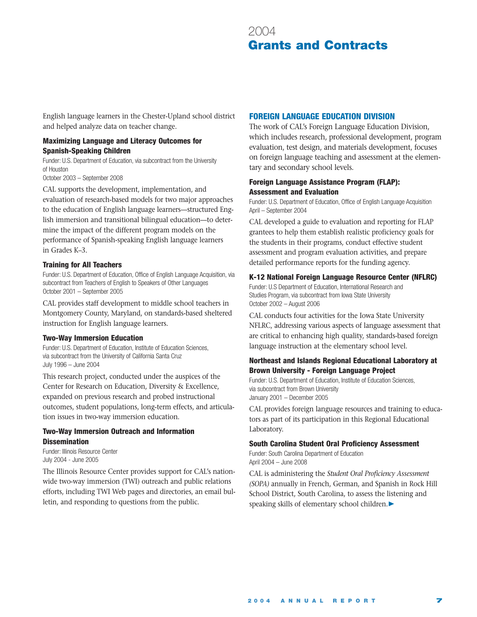English language learners in the Chester-Upland school district and helped analyze data on teacher change.

### **Maximizing Language and Literacy Outcomes for Spanish-Speaking Children**

Funder: U.S. Department of Education, via subcontract from the University of Houston

October 2003 – September 2008

CAL supports the development, implementation, and evaluation of research-based models for two major approaches to the education of English language learners—structured English immersion and transitional bilingual education—to determine the impact of the different program models on the performance of Spanish-speaking English language learners in Grades K–3.

#### **Training for All Teachers**

Funder: U.S. Department of Education, Office of English Language Acquisition, via subcontract from Teachers of English to Speakers of Other Languages October 2001 – September 2005

CAL provides staff development to middle school teachers in Montgomery County, Maryland, on standards-based sheltered instruction for English language learners.

#### **Two-Way Immersion Education**

Funder: U.S. Department of Education, Institute of Education Sciences, via subcontract from the University of California Santa Cruz July 1996 – June 2004

This research project, conducted under the auspices of the Center for Research on Education, Diversity & Excellence, expanded on previous research and probed instructional outcomes, student populations, long-term effects, and articulation issues in two-way immersion education.

### **Two-Way Immersion Outreach and Information Dissemination**

Funder: Illinois Resource Center July 2004 - June 2005

The Illinois Resource Center provides support for CAL's nationwide two-way immersion (TWI) outreach and public relations efforts, including TWI Web pages and directories, an email bulletin, and responding to questions from the public.

### **FOREIGN LANGUAGE EDUCATION DIVISION**

The work of CAL's Foreign Language Education Division, which includes research, professional development, program evaluation, test design, and materials development, focuses on foreign language teaching and assessment at the elementary and secondary school levels.

### **Foreign Language Assistance Program (FLAP): Assessment and Evaluation**

Funder: U.S. Department of Education, Office of English Language Acquisition April – September 2004

CAL developed a guide to evaluation and reporting for FLAP grantees to help them establish realistic proficiency goals for the students in their programs, conduct effective student assessment and program evaluation activities, and prepare detailed performance reports for the funding agency.

#### **K-12 National Foreign Language Resource Center (NFLRC)**

Funder: U.S Department of Education, International Research and Studies Program, via subcontract from Iowa State University October 2002 – August 2006

CAL conducts four activities for the Iowa State University NFLRC, addressing various aspects of language assessment that are critical to enhancing high quality, standards-based foreign language instruction at the elementary school level.

### **Northeast and Islands Regional Educational Laboratory at Brown University - Foreign Language Project**

Funder: U.S. Department of Education, Institute of Education Sciences, via subcontract from Brown University January 2001 – December 2005

CAL provides foreign language resources and training to educators as part of its participation in this Regional Educational Laboratory.

#### **South Carolina Student Oral Proficiency Assessment**

Funder: South Carolina Department of Education April 2004 – June 2008

CAL is administering the *Student Oral Proficiency Assessment (SOPA)* annually in French, German, and Spanish in Rock Hill School District, South Carolina, to assess the listening and speaking skills of elementary school children. ▲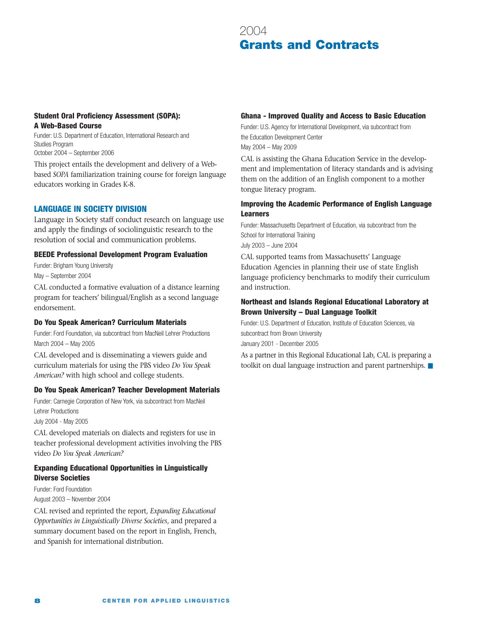## **Student Oral Proficiency Assessment (SOPA): A Web-Based Course**

Funder: U.S. Department of Education, International Research and Studies Program October 2004 – September 2006

This project entails the development and delivery of a Webbased *SOPA* familiarization training course for foreign language educators working in Grades K-8.

## **LANGUAGE IN SOCIETY DIVISION**

Language in Society staff conduct research on language use and apply the findings of sociolinguistic research to the resolution of social and communication problems.

#### **BEEDE Professional Development Program Evaluation**

Funder: Brigham Young University May – September 2004

CAL conducted a formative evaluation of a distance learning program for teachers' bilingual/English as a second language endorsement.

#### **Do You Speak American? Curriculum Materials**

Funder: Ford Foundation, via subcontract from MacNeil Lehrer Productions March 2004 – May 2005

CAL developed and is disseminating a viewers guide and curriculum materials for using the PBS video *Do You Speak American?* with high school and college students.

#### **Do You Speak American? Teacher Development Materials**

Funder: Carnegie Corporation of New York, via subcontract from MacNeil Lehrer Productions

July 2004 - May 2005

CAL developed materials on dialects and registers for use in teacher professional development activities involving the PBS video *Do You Speak American?*

### **Expanding Educational Opportunities in Linguistically Diverse Societies**

Funder: Ford Foundation August 2003 – November 2004

CAL revised and reprinted the report, *Expanding Educational Opportunities in Linguistically Diverse Societies*, and prepared a summary document based on the report in English, French, and Spanish for international distribution.

#### **Ghana - Improved Quality and Access to Basic Education**

Funder: U.S. Agency for International Development, via subcontract from the Education Development Center May 2004 – May 2009

CAL is assisting the Ghana Education Service in the development and implementation of literacy standards and is advising them on the addition of an English component to a mother tongue literacy program.

### **Improving the Academic Performance of English Language Learners**

Funder: Massachusetts Department of Education, via subcontract from the School for International Training July 2003 – June 2004

CAL supported teams from Massachusetts' Language Education Agencies in planning their use of state English language proficiency benchmarks to modify their curriculum and instruction.

### **Northeast and Islands Regional Educational Laboratory at Brown University – Dual Language Toolkit**

Funder: U.S. Department of Education, Institute of Education Sciences, via subcontract from Brown University January 2001 - December 2005

As a partner in this Regional Educational Lab, CAL is preparing a toolkit on dual language instruction and parent partnerships. ■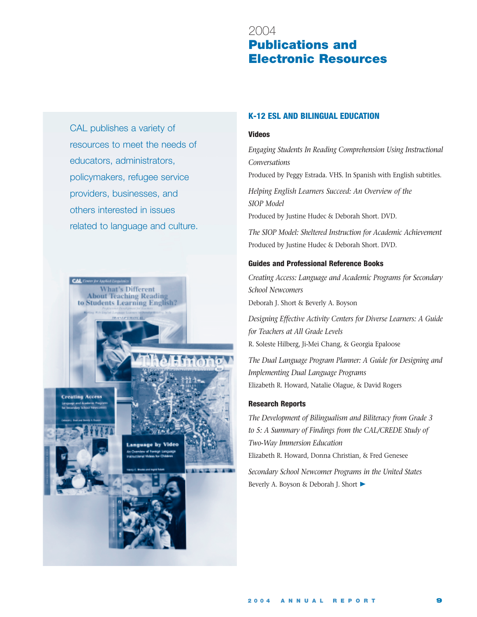## 2004 **Publications and Electronic Resources**

CAL publishes a variety of resources to meet the needs of educators, administrators, policymakers, refugee service providers, businesses, and others interested in issues related to language and culture.



## **K-12 ESL AND BILINGUAL EDUCATION**

#### **Videos**

*Engaging Students In Reading Comprehension Using Instructional Conversations*

Produced by Peggy Estrada. VHS. In Spanish with English subtitles.

*Helping English Learners Succeed: An Overview of the SIOP Model* Produced by Justine Hudec & Deborah Short. DVD.

*The SIOP Model: Sheltered Instruction for Academic Achievement* Produced by Justine Hudec & Deborah Short. DVD.

#### **Guides and Professional Reference Books**

*Creating Access: Language and Academic Programs for Secondary School Newcomers* Deborah J. Short & Beverly A. Boyson

*Designing Effective Activity Centers for Diverse Learners: A Guide for Teachers at All Grade Levels* R. Soleste Hilberg, Ji-Mei Chang, & Georgia Epaloose

*The Dual Language Program Planner: A Guide for Designing and Implementing Dual Language Programs* Elizabeth R. Howard, Natalie Olague, & David Rogers

#### **Research Reports**

*The Development of Bilingualism and Biliteracy from Grade 3 to 5: A Summary of Findings from the CAL/CREDE Study of Two-Way Immersion Education* Elizabeth R. Howard, Donna Christian, & Fred Genesee

*Secondary School Newcomer Programs in the United States* Beverly A. Boyson & Deborah J. Short ▶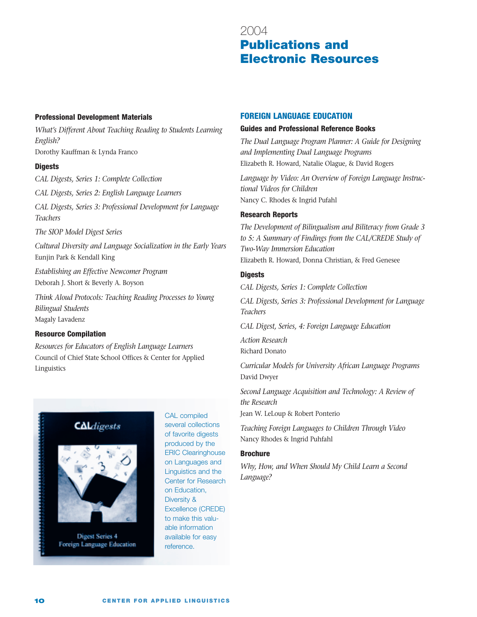## 2004 **Publications and Electronic Resources**

#### **Professional Development Materials**

*What's Different About Teaching Reading to Students Learning English?* Dorothy Kauffman & Lynda Franco

#### **Digests**

*CAL Digests, Series 1: Complete Collection*

*CAL Digests, Series 2: English Language Learners*

*CAL Digests, Series 3: Professional Development for Language Teachers*

*The SIOP Model Digest Series*

*Cultural Diversity and Language Socialization in the Early Years* Eunjin Park & Kendall King

*Establishing an Effective Newcomer Program* Deborah J. Short & Beverly A. Boyson

*Think Aloud Protocols: Teaching Reading Processes to Young Bilingual Students* Magaly Lavadenz

#### **Resource Compilation**

*Resources for Educators of English Language Learners*  Council of Chief State School Offices & Center for Applied Linguistics



**Digest Series 4** Foreign Language Education

CAL compiled several collections of favorite digests produced by the ERIC Clearinghouse on Languages and Linguistics and the Center for Research on Education, Diversity & Excellence (CREDE) to make this valuable information available for easy reference.

#### **FOREIGN LANGUAGE EDUCATION**

#### **Guides and Professional Reference Books**

*The Dual Language Program Planner: A Guide for Designing and Implementing Dual Language Programs* Elizabeth R. Howard, Natalie Olague, & David Rogers

*Language by Video: An Overview of Foreign Language Instructional Videos for Children*  Nancy C. Rhodes & Ingrid Pufahl

#### **Research Reports**

*The Development of Bilingualism and Biliteracy from Grade 3 to 5: A Summary of Findings from the CAL/CREDE Study of Two-Way Immersion Education* Elizabeth R. Howard, Donna Christian, & Fred Genesee

### **Digests**

*CAL Digests, Series 1: Complete Collection*

*CAL Digests, Series 3: Professional Development for Language Teachers*

*CAL Digest, Series, 4: Foreign Language Education*

*Action Research* Richard Donato

*Curricular Models for University African Language Programs* David Dwyer

*Second Language Acquisition and Technology: A Review of the Research*

Jean W. LeLoup & Robert Ponterio

*Teaching Foreign Languages to Children Through Video* Nancy Rhodes & Ingrid Puhfahl

#### **Brochure**

*Why, How, and When Should My Child Learn a Second Language?*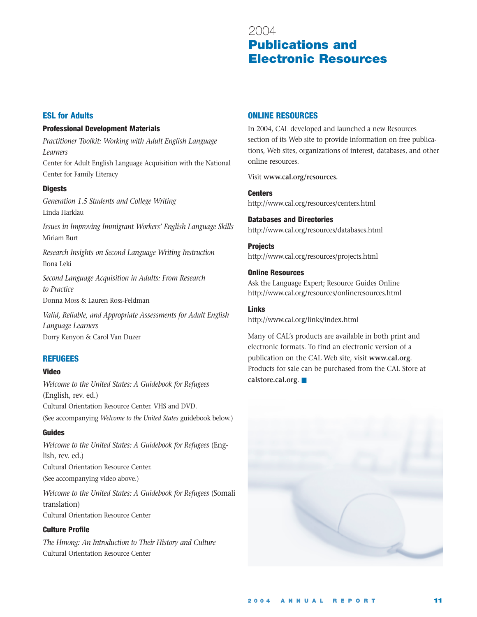## 2004 **Publications and Electronic Resources**

## **ESL for Adults**

## **Professional Development Materials**

*Practitioner Toolkit: Working with Adult English Language Learners* Center for Adult English Language Acquisition with the National Center for Family Literacy

## **Digests**

*Generation 1.5 Students and College Writing* Linda Harklau

*Issues in Improving Immigrant Workers' English Language Skills* Miriam Burt

*Research Insights on Second Language Writing Instruction* Ilona Leki

*Second Language Acquisition in Adults: From Research to Practice* Donna Moss & Lauren Ross-Feldman

*Valid, Reliable, and Appropriate Assessments for Adult English Language Learners* Dorry Kenyon & Carol Van Duzer

## **REFUGEES**

## **Video**

*Welcome to the United States: A Guidebook for Refugees*  (English, rev. ed.) Cultural Orientation Resource Center. VHS and DVD. (See accompanying *Welcome to the United States* guidebook below.)

## **Guides**

*Welcome to the United States: A Guidebook for Refugees* (English, rev. ed.) Cultural Orientation Resource Center. (See accompanying video above.) *Welcome to the United States: A Guidebook for Refugees* (Somali

translation) Cultural Orientation Resource Center

## **Culture Profile**

*The Hmong: An Introduction to Their History and Culture* Cultural Orientation Resource Center

## **ONLINE RESOURCES**

In 2004, CAL developed and launched a new Resources section of its Web site to provide information on free publications, Web sites, organizations of interest, databases, and other online resources.

Visit **www.cal.org/resources.**

**Centers** http://www.cal.org/resources/centers.html

**Databases and Directories** http://www.cal.org/resources/databases.html

**Projects** http://www.cal.org/resources/projects.html

**Online Resources**

Ask the Language Expert; Resource Guides Online http://www.cal.org/resources/onlineresources.html

**Links**

http://www.cal.org/links/index.html

Many of CAL's products are available in both print and electronic formats. To find an electronic version of a publication on the CAL Web site, visit **www.cal.org**. Products for sale can be purchased from the CAL Store at **calstore.cal.org**. ■

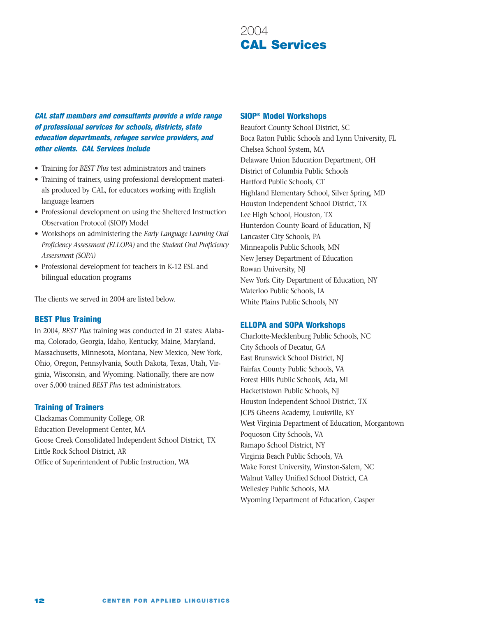# 2004 **CAL Services**

*CAL staff members and consultants provide a wide range of professional services for schools, districts, state education departments, refugee service providers, and other clients. CAL Services include* 

- Training for *BEST Plus* test administrators and trainers
- Training of trainers, using professional development materials produced by CAL, for educators working with English language learners
- Professional development on using the Sheltered Instruction Observation Protocol (SIOP) Model
- Workshops on administering the *Early Language Learning Oral Proficiency Assessment (ELLOPA)* and the *Student Oral Proficiency Assessment (SOPA)*
- Professional development for teachers in K-12 ESL and bilingual education programs

The clients we served in 2004 are listed below.

#### **BEST Plus Training**

In 2004, *BEST Plus* training was conducted in 21 states: Alabama, Colorado, Georgia, Idaho, Kentucky, Maine, Maryland, Massachusetts, Minnesota, Montana, New Mexico, New York, Ohio, Oregon, Pennsylvania, South Dakota, Texas, Utah, Virginia, Wisconsin, and Wyoming. Nationally, there are now over 5,000 trained *BEST Plus* test administrators.

#### **Training of Trainers**

Clackamas Community College, OR Education Development Center, MA Goose Creek Consolidated Independent School District, TX Little Rock School District, AR Office of Superintendent of Public Instruction, WA

#### **SIOP® Model Workshops**

Beaufort County School District, SC Boca Raton Public Schools and Lynn University, FL Chelsea School System, MA Delaware Union Education Department, OH District of Columbia Public Schools Hartford Public Schools, CT Highland Elementary School, Silver Spring, MD Houston Independent School District, TX Lee High School, Houston, TX Hunterdon County Board of Education, NJ Lancaster City Schools, PA Minneapolis Public Schools, MN New Jersey Department of Education Rowan University, NJ New York City Department of Education, NY Waterloo Public Schools, IA White Plains Public Schools, NY

#### **ELLOPA and SOPA Workshops**

Charlotte-Mecklenburg Public Schools, NC City Schools of Decatur, GA East Brunswick School District, NJ Fairfax County Public Schools, VA Forest Hills Public Schools, Ada, MI Hackettstown Public Schools, NJ Houston Independent School District, TX JCPS Gheens Academy, Louisville, KY West Virginia Department of Education, Morgantown Poquoson City Schools, VA Ramapo School District, NY Virginia Beach Public Schools, VA Wake Forest University, Winston-Salem, NC Walnut Valley Unified School District, CA Wellesley Public Schools, MA Wyoming Department of Education, Casper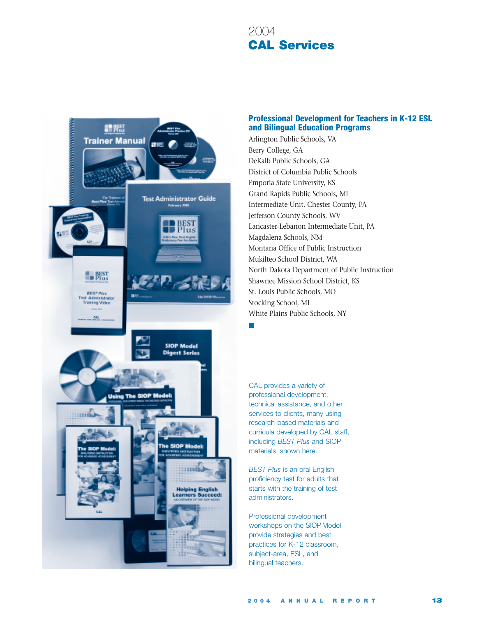# 2004 **CAL Services**



## **Professional Development for Teachers in K-12 ESL and Bilingual Education Programs**

Arlington Public Schools, VA Berry College, GA DeKalb Public Schools, GA District of Columbia Public Schools Emporia State University, KS Grand Rapids Public Schools, MI Intermediate Unit, Chester County, PA Jefferson County Schools, WV Lancaster-Lebanon Intermediate Unit, PA Magdalena Schools, NM Montana Office of Public Instruction Mukilteo School District, WA North Dakota Department of Public Instruction Shawnee Mission School District, KS St. Louis Public Schools, MO Stocking School, MI White Plains Public Schools, NY

■

CAL provides a variety of professional development, technical assistance, and other services to clients, many using research-based materials and curricula developed by CAL staff, including *BEST Plus* and SIOP materials, shown here.

*BEST Plus* is an oral English proficiency test for adults that starts with the training of test administrators.

Professional development workshops on the SIOP Model provide strategies and best practices for K-12 classroom, subject-area, ESL, and bilingual teachers.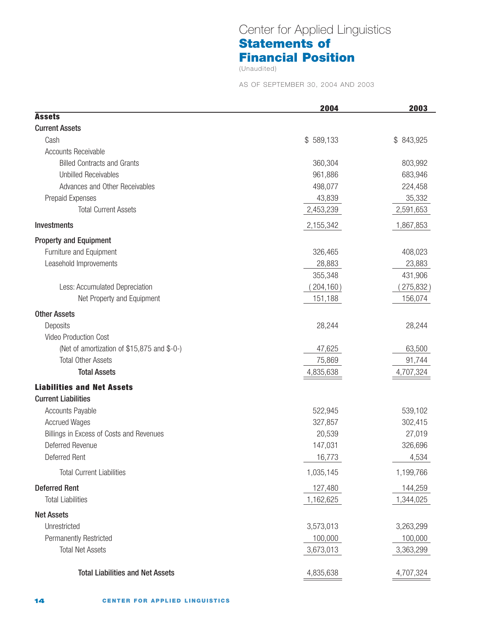## Center for Applied Linguistics **Statements of Financial Position**

(Unaudited)

AS OF SEPTEMBER 30, 2004 AND 2003

|                                             | 2004       | 2003       |
|---------------------------------------------|------------|------------|
| <b>Assets</b>                               |            |            |
| <b>Current Assets</b>                       |            |            |
| Cash                                        | \$589,133  | \$ 843,925 |
| <b>Accounts Receivable</b>                  |            |            |
| <b>Billed Contracts and Grants</b>          | 360,304    | 803,992    |
| <b>Unbilled Receivables</b>                 | 961,886    | 683,946    |
| Advances and Other Receivables              | 498,077    | 224,458    |
| Prepaid Expenses                            | 43,839     | 35,332     |
| <b>Total Current Assets</b>                 | 2,453,239  | 2,591,653  |
| Investments                                 | 2,155,342  | 1,867,853  |
| <b>Property and Equipment</b>               |            |            |
| Furniture and Equipment                     | 326,465    | 408,023    |
| Leasehold Improvements                      | 28,883     | 23,883     |
|                                             | 355,348    | 431,906    |
| Less: Accumulated Depreciation              | (204, 160) | 275,832)   |
| Net Property and Equipment                  | 151,188    | 156,074    |
| <b>Other Assets</b>                         |            |            |
| Deposits                                    | 28,244     | 28,244     |
| <b>Video Production Cost</b>                |            |            |
| (Net of amortization of \$15,875 and \$-0-) | 47,625     | 63,500     |
| <b>Total Other Assets</b>                   | 75,869     | 91,744     |
| <b>Total Assets</b>                         | 4,835,638  | 4,707,324  |
| <b>Liabilities and Net Assets</b>           |            |            |
| <b>Current Liabilities</b>                  |            |            |
| <b>Accounts Payable</b>                     | 522,945    | 539,102    |
| <b>Accrued Wages</b>                        | 327,857    | 302,415    |
| Billings in Excess of Costs and Revenues    | 20,539     | 27,019     |
| Deferred Revenue                            | 147,031    | 326,696    |
| Deferred Rent                               | 16,773     | 4,534      |
| <b>Total Current Liabilities</b>            | 1,035,145  | 1,199,766  |
| <b>Deferred Rent</b>                        | 127,480    | 144,259    |
| <b>Total Liabilities</b>                    | 1,162,625  | 1,344,025  |
| <b>Net Assets</b>                           |            |            |
| Unrestricted                                | 3,573,013  | 3,263,299  |
| <b>Permanently Restricted</b>               | 100,000    | 100,000    |
| <b>Total Net Assets</b>                     | 3,673,013  | 3,363,299  |
| <b>Total Liabilities and Net Assets</b>     | 4,835,638  | 4,707,324  |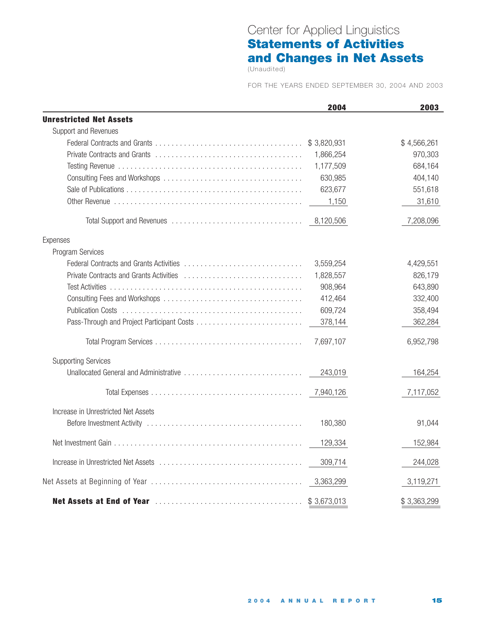# Center for Applied Linguistics **Statements of Activities and Changes in Net Assets**

(Unaudited)

FOR THE YEARS ENDED SEPTEMBER 30, 2004 AND 2003

|                                     | 2004        | 2003        |
|-------------------------------------|-------------|-------------|
| <b>Unrestricted Net Assets</b>      |             |             |
| Support and Revenues                |             |             |
|                                     | \$3,820,931 | \$4,566,261 |
|                                     | 1,866,254   | 970,303     |
|                                     | 1,177,509   | 684,164     |
|                                     | 630,985     | 404,140     |
|                                     | 623,677     | 551,618     |
|                                     | 1,150       | 31,610      |
|                                     | 8,120,506   | 7,208,096   |
| Expenses                            |             |             |
| Program Services                    |             |             |
|                                     | 3,559,254   | 4,429,551   |
|                                     | 1,828,557   | 826,179     |
|                                     | 908,964     | 643,890     |
|                                     | 412,464     | 332,400     |
|                                     | 609,724     | 358,494     |
|                                     | 378,144     | 362,284     |
|                                     | 7,697,107   | 6,952,798   |
| <b>Supporting Services</b>          |             |             |
|                                     | 243,019     | 164,254     |
|                                     |             | 7,117,052   |
| Increase in Unrestricted Net Assets |             |             |
|                                     | 180,380     | 91,044      |
|                                     | 129,334     | 152,984     |
|                                     | 309,714     | 244,028     |
|                                     | 3,363,299   | 3,119,271   |
|                                     |             | \$3,363,299 |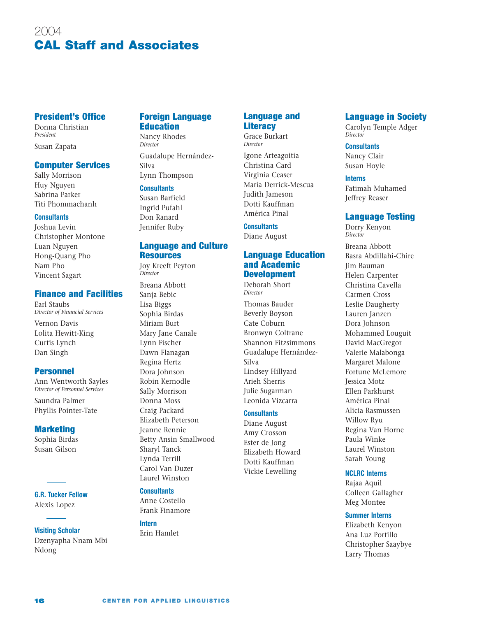# 2004 **CAL Staff and Associates**

## **President's Office**

Donna Christian *President*

## Susan Zapata

#### **Computer Services**

Sally Morrison Huy Nguyen Sabrina Parker Titi Phommachanh

#### **Consultants**

Joshua Levin Christopher Montone Luan Nguyen Hong-Quang Pho Nam Pho Vincent Sagart

#### **Finance and Facilities**

Earl Staubs *Director of Financial Services*

Vernon Davis Lolita Hewitt-King Curtis Lynch Dan Singh

#### **Personnel**

Ann Wentworth Sayles *Director of Personnel Services*

Saundra Palmer Phyllis Pointer-Tate

#### **Marketing**

Sophia Birdas Susan Gilson

**G.R. Tucker Fellow** Alexis Lopez

#### **Visiting Scholar**

Dzenyapha Nnam Mbi Ndong

### **Foreign Language Education**

Nancy Rhodes *Director* Guadalupe Hernández-Silva Lynn Thompson

#### **Consultants**

Susan Barfield Ingrid Pufahl Don Ranard Jennifer Ruby

## **Language and Culture Resources**

Joy Kreeft Peyton *Director*

Breana Abbott Sanja Bebic Lisa Biggs Sophia Birdas Miriam Burt Mary Jane Canale Lynn Fischer Dawn Flanagan Regina Hertz Dora Johnson Robin Kernodle Sally Morrison Donna Moss Craig Packard Elizabeth Peterson Jeanne Rennie Betty Ansin Smallwood Sharyl Tanck Lynda Terrill Carol Van Duzer Laurel Winston

### **Consultants**

Anne Costello Frank Finamore

## **Intern**

Erin Hamlet

### **Language and Literacy**

Grace Burkart *Director*

Igone Arteagoitia Christina Card Virginia Ceaser María Derrick-Mescua Judith Jameson Dotti Kauffman América Pinal

#### **Consultants**

Diane August

## **Language Education and Academic Development**

Deborah Short *Director*

Thomas Bauder Beverly Boyson Cate Coburn Bronwyn Coltrane Shannon Fitzsimmons Guadalupe Hernández-Silva Lindsey Hillyard Arieh Sherris Julie Sugarman Leonida Vizcarra

#### **Consultants**

Diane August Amy Crosson Ester de Jong Elizabeth Howard Dotti Kauffman Vickie Lewelling

### **Language in Society**

Carolyn Temple Adger *Director*

#### **Consultants**

Nancy Clair Susan Hoyle

#### **Interns**

Fatimah Muhamed Jeffrey Reaser

### **Language Testing**

Dorry Kenyon *Director*

Breana Abbott Basra Abdillahi-Chire Jim Bauman Helen Carpenter Christina Cavella Carmen Cross Leslie Daugherty Lauren Janzen Dora Johnson Mohammed Louguit David MacGregor Valerie Malabonga Margaret Malone Fortune McLemore Jessica Motz Ellen Parkhurst América Pinal Alicia Rasmussen Willow Ryu Regina Van Horne Paula Winke Laurel Winston Sarah Young

### **NCLRC Interns**

Rajaa Aquil Colleen Gallagher Meg Montee

#### **Summer Interns**

Elizabeth Kenyon Ana Luz Portillo Christopher Saaybye Larry Thomas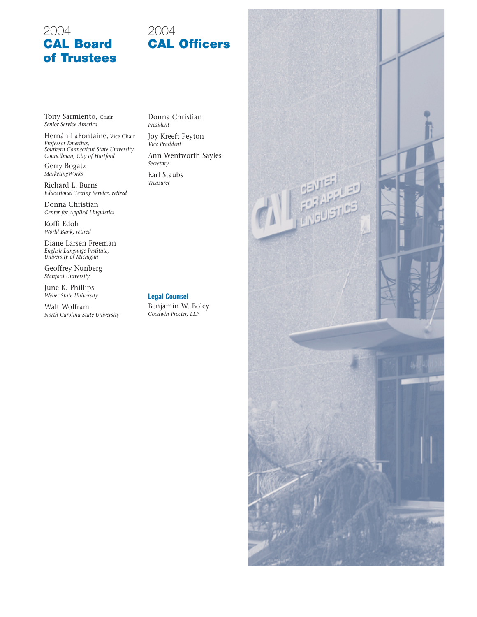## 2004 **CAL Board of Trustees**

# 2004 **CAL Officers**

Tony Sarmiento, Chair *Senior Service America*

Hernán LaFontaine, Vice Chair *Professor Emeritus, Southern Connecticut State University Councilman, City of Hartford*

Gerry Bogatz *MarketingWorks*

Richard L. Burns *Educational Testing Service, retired*

Donna Christian *Center for Applied Linguistics*

Koffi Edoh *World Bank, retired*

Diane Larsen-Freeman *English Language Institute, University of Michigan*

Geoffrey Nunberg *Stanford University*

June K. Phillips *Weber State University*

Walt Wolfram *North Carolina State University* Donna Christian *President*

Joy Kreeft Peyton *Vice President*

Ann Wentworth Sayles *Secretary*

Earl Staubs *Treasurer*

**Legal Counsel** Benjamin W. Boley *Goodwin Procter, LLP*